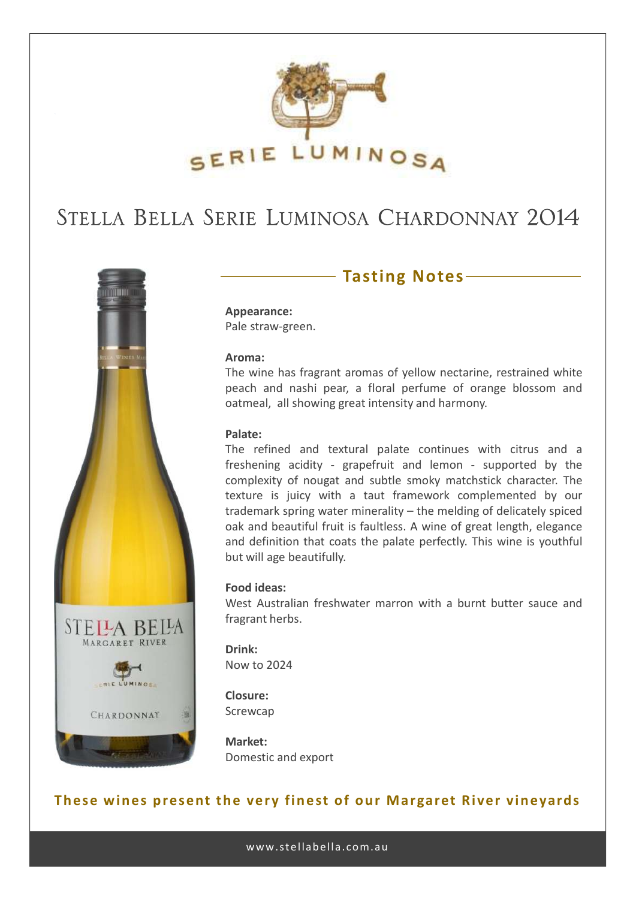

## STELLA BELLA SERIE LUMINOSA CHARDONNAY 2014



### **Tasting Notes**

**Appearance:** Pale straw-green.

#### **Aroma:**

The wine has fragrant aromas of yellow nectarine, restrained white peach and nashi pear, a floral perfume of orange blossom and oatmeal, all showing great intensity and harmony.

#### **Palate:**

The refined and textural palate continues with citrus and a freshening acidity - grapefruit and lemon - supported by the complexity of nougat and subtle smoky matchstick character. The texture is juicy with a taut framework complemented by our trademark spring water minerality – the melding of delicately spiced oak and beautiful fruit is faultless. A wine of great length, elegance and definition that coats the palate perfectly. This wine is youthful but will age beautifully.

#### **Food ideas:**

West Australian freshwater marron with a burnt butter sauce and fragrant herbs.

**Drink:** Now to 2024

**Closure:** Screwcap

**Market:** Domestic and export

### **These wines present the very finest of our Margaret River vineyards**

www.stellabella.com.au